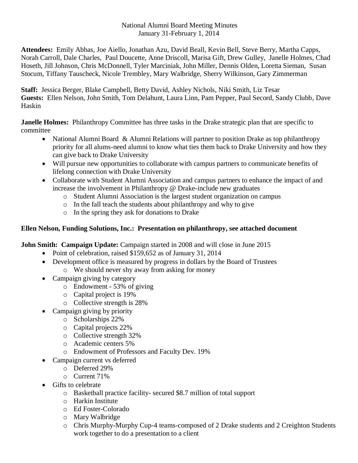### National Alumni Board Meeting Minutes January 31-February 1, 2014

**Attendees:** Emily Abbas, Joe Aiello, Jonathan Azu, David Beall, Kevin Bell, Steve Berry, Martha Capps, Norah Carroll, Dale Charles, Paul Doucette, Anne Driscoll, Marisa Gift, Drew Gulley, Janelle Holmes, Chad Hoseth, Jill Johnson, Chris McDonnell, Tyler Marciniak, John Miller, Dennis Olden, Loretta Sieman, Susan Stocum, Tiffany Tauscheck, Nicole Trembley, Mary Walbridge, Sherry Wilkinson, Gary Zimmerman

**Staff:** Jessica Berger, Blake Campbell, Betty David, Ashley Nichols, Niki Smith, Liz Tesar **Guests:** Ellen Nelson, John Smith, Tom Delahunt, Laura Linn, Pam Pepper, Paul Secord, Sandy Clubb, Dave Haskin

**Janelle Holmes:** Philanthropy Committee has three tasks in the Drake strategic plan that are specific to committee

- National Alumni Board & Alumni Relations will partner to position Drake as top philanthropy priority for all alums-need alumni to know what ties them back to Drake University and how they can give back to Drake University
- Will pursue new opportunities to collaborate with campus partners to communicate benefits of lifelong connection with Drake University
- Collaborate with Student Alumni Association and campus partners to enhance the impact of and increase the involvement in Philanthropy @ Drake-include new graduates
	- o Student Alumni Association is the largest student organization on campus
	- o In the fall teach the students about philanthropy and why to give
	- o In the spring they ask for donations to Drake

# **Ellen Nelson, Funding Solutions, Inc.: Presentation on philanthropy, see attached document**

**John Smith: Campaign Update:** Campaign started in 2008 and will close in June 2015

- Point of celebration, raised \$159,652 as of January 31, 2014
- Development office is measured by progress in dollars by the Board of Trustees o We should never shy away from asking for money
- Campaign giving by category
	- o Endowment 53% of giving
	- o Capital project is 19%
	- o Collective strength is 28%
- Campaign giving by priority
	- o Scholarships 22%
	- o Capital projects 22%
	- o Collective strength 32%
	- o Academic centers 5%
	- o Endowment of Professors and Faculty Dev. 19%
- Campaign current vs deferred
	- o Deferred 29%
	- o Current 71%
- Gifts to celebrate
	- o Basketball practice facility- secured \$8.7 million of total support
	- o Harkin Institute
	- o Ed Foster-Colorado
	- o Mary Walbridge
	- o Chris Murphy-Murphy Cup-4 teams-composed of 2 Drake students and 2 Creighton Students work together to do a presentation to a client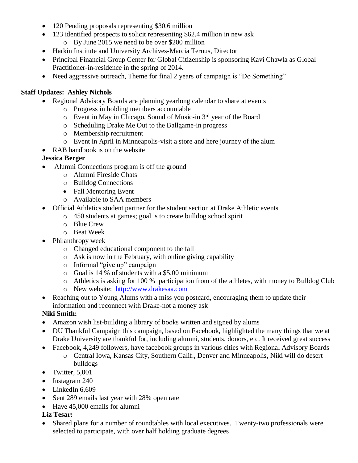- 120 Pending proposals representing \$30.6 million
- 123 identified prospects to solicit representing \$62.4 million in new ask
	- o By June 2015 we need to be over \$200 million
- Harkin Institute and University Archives-Marcia Ternus, Director
- Principal Financial Group Center for Global Citizenship is sponsoring Kavi Chawla as Global Practitioner-in-residence in the spring of 2014.
- Need aggressive outreach, Theme for final 2 years of campaign is "Do Something"

### **Staff Updates: Ashley Nichols**

- Regional Advisory Boards are planning yearlong calendar to share at events
	- o Progress in holding members accountable
	- $\circ$  Event in May in Chicago, Sound of Music-in 3<sup>rd</sup> year of the Board
	- o Scheduling Drake Me Out to the Ballgame-in progress
	- o Membership recruitment
	- o Event in April in Minneapolis-visit a store and here journey of the alum
- RAB handbook is on the website

# **Jessica Berger**

- Alumni Connections program is off the ground
	- o Alumni Fireside Chats
	- o Bulldog Connections
	- Fall Mentoring Event
	- o Available to SAA members
- Official Athletics student partner for the student section at Drake Athletic events
	- o 450 students at games; goal is to create bulldog school spirit
	- o Blue Crew
	- o Beat Week
- Philanthropy week
	- o Changed educational component to the fall
	- o Ask is now in the February, with online giving capability
	- o Informal "give up" campaign
	- o Goal is 14 % of students with a \$5.00 minimum
	- o Athletics is asking for 100 % participation from of the athletes, with money to Bulldog Club
	- o New website: [http://www.drakesaa.com](http://www.drakesaa.com/)
- Reaching out to Young Alums with a miss you postcard, encouraging them to update their information and reconnect with Drake-not a money ask

# **Niki Smith:**

- Amazon wish list-building a library of books written and signed by alums
- DU Thankful Campaign this campaign, based on Facebook, highlighted the many things that we at Drake University are thankful for, including alumni, students, donors, etc. It received great success
- Facebook, 4,249 followers, have facebook groups in various cities with Regional Advisory Boards o Central Iowa, Kansas City, Southern Calif., Denver and Minneapolis, Niki will do desert bulldogs
- Twitter,  $5,001$
- Instagram 240
- LinkedIn 6,609
- Sent 289 emails last year with 28% open rate
- Have 45,000 emails for alumni

### **Liz Tesar:**

• Shared plans for a number of roundtables with local executives. Twenty-two professionals were selected to participate, with over half holding graduate degrees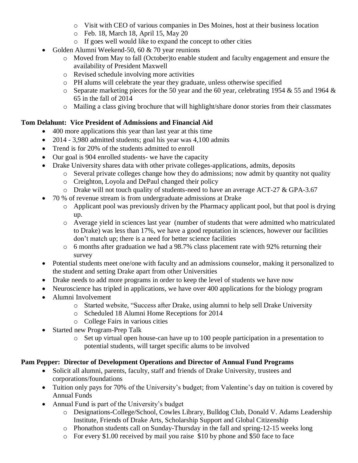- o Visit with CEO of various companies in Des Moines, host at their business location
- o Feb. 18, March 18, April 15, May 20
- o If goes well would like to expand the concept to other cities
- Golden Alumni Weekend-50, 60 & 70 year reunions
	- o Moved from May to fall (October)to enable student and faculty engagement and ensure the availability of President Maxwell
	- o Revised schedule involving more activities
	- o PH alums will celebrate the year they graduate, unless otherwise specified
	- $\circ$  Separate marketing pieces for the 50 year and the 60 year, celebrating 1954 & 55 and 1964 & 65 in the fall of 2014
	- o Mailing a class giving brochure that will highlight/share donor stories from their classmates

# **Tom Delahunt: Vice President of Admissions and Financial Aid**

- 400 more applications this year than last year at this time
- 2014 3,980 admitted students; goal his year was 4,100 admits
- Trend is for 20% of the students admitted to enroll
- Our goal is 904 enrolled students- we have the capacity
- Drake University shares data with other private colleges-applications, admits, deposits
	- o Several private colleges change how they do admissions; now admit by quantity not quality
	- o Creighton, Loyola and DePaul changed their policy
	- o Drake will not touch quality of students-need to have an average ACT-27 & GPA-3.67
- 70 % of revenue stream is from undergraduate admissions at Drake
	- o Applicant pool was previously driven by the Pharmacy applicant pool, but that pool is drying up.
	- o Average yield in sciences last year (number of students that were admitted who matriculated to Drake) was less than 17%, we have a good reputation in sciences, however our facilities don't match up; there is a need for better science facilities
	- o 6 months after graduation we had a 98.7% class placement rate with 92% returning their survey
- Potential students meet one/one with faculty and an admissions counselor, making it personalized to the student and setting Drake apart from other Universities
- Drake needs to add more programs in order to keep the level of students we have now
- Neuroscience has tripled in applications, we have over 400 applications for the biology program
- Alumni Involvement
	- o Started website, "Success after Drake, using alumni to help sell Drake University
	- o Scheduled 18 Alumni Home Receptions for 2014
	- o College Fairs in various cities
- Started new Program-Prep Talk
	- o Set up virtual open house-can have up to 100 people participation in a presentation to potential students, will target specific alums to be involved

### **Pam Pepper: Director of Development Operations and Director of Annual Fund Programs**

- Solicit all alumni, parents, faculty, staff and friends of Drake University, trustees and corporations/foundations
- Tuition only pays for 70% of the University's budget; from Valentine's day on tuition is covered by Annual Funds
- Annual Fund is part of the University's budget
	- o Designations-College/School, Cowles Library, Bulldog Club, Donald V. Adams Leadership Institute, Friends of Drake Arts, Scholarship Support and Global Citizenship
	- o Phonathon students call on Sunday-Thursday in the fall and spring-12-15 weeks long
	- o For every \$1.00 received by mail you raise \$10 by phone and \$50 face to face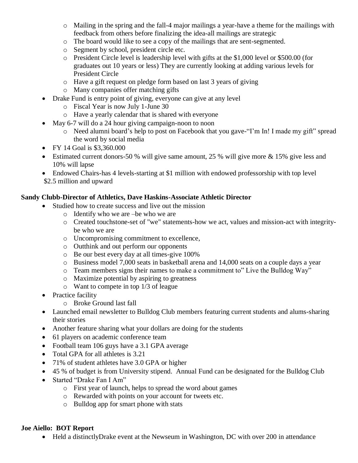- o Mailing in the spring and the fall-4 major mailings a year-have a theme for the mailings with feedback from others before finalizing the idea-all mailings are strategic
- o The board would like to see a copy of the mailings that are sent-segmented.
- o Segment by school, president circle etc.
- o President Circle level is leadership level with gifts at the \$1,000 level or \$500.00 (for graduates out 10 years or less) They are currently looking at adding various levels for President Circle
- o Have a gift request on pledge form based on last 3 years of giving
- o Many companies offer matching gifts
- Drake Fund is entry point of giving, everyone can give at any level
	- o Fiscal Year is now July 1-June 30
	- o Have a yearly calendar that is shared with everyone
- May 6-7 will do a 24 hour giving campaign-noon to noon
	- o Need alumni board's help to post on Facebook that you gave-"I'm In! I made my gift" spread the word by social media
- FY 14 Goal is \$3,360.000
- Estimated current donors-50 % will give same amount, 25 % will give more & 15% give less and 10% will lapse
- Endowed Chairs-has 4 levels-starting at \$1 million with endowed professorship with top level
- \$2.5 million and upward

# **Sandy Clubb-Director of Athletics, Dave Haskins-Associate Athletic Director**

- Studied how to create success and live out the mission
	- o Identify who we are –be who we are
	- o Created touchstone-set of "we" statements-how we act, values and mission-act with integritybe who we are
	- o Uncompromising commitment to excellence,
	- o Outthink and out perform our opponents
	- o Be our best every day at all times-give 100%
	- o Business model 7,000 seats in basketball arena and 14,000 seats on a couple days a year
	- o Team members signs their names to make a commitment to" Live the Bulldog Way"
	- o Maximize potential by aspiring to greatness
	- o Want to compete in top 1/3 of league
- Practice facility
	- o Broke Ground last fall
- Launched email newsletter to Bulldog Club members featuring current students and alums-sharing their stories
- Another feature sharing what your dollars are doing for the students
- 61 players on academic conference team
- Football team 106 guys have a 3.1 GPA average
- Total GPA for all athletes is 3.21
- 71% of student athletes have 3.0 GPA or higher
- 45 % of budget is from University stipend. Annual Fund can be designated for the Bulldog Club
- Started "Drake Fan I Am"
	- o First year of launch, helps to spread the word about games
	- o Rewarded with points on your account for tweets etc.
	- o Bulldog app for smart phone with stats

# **Joe Aiello: BOT Report**

• Held a distinctlyDrake event at the Newseum in Washington, DC with over 200 in attendance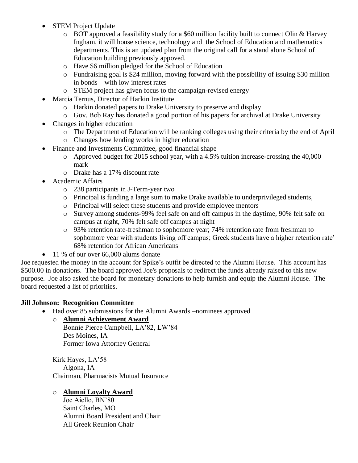- **STEM Project Update** 
	- $\circ$  BOT approved a feasibility study for a \$60 million facility built to connect Olin & Harvey Ingham, it will house science, technology and the School of Education and mathematics departments. This is an updated plan from the original call for a stand alone School of Education building previously appoved.
	- o Have \$6 million pledged for the School of Education
	- o Fundraising goal is \$24 million, moving forward with the possibility of issuing \$30 million in bonds – with low interest rates
	- o STEM project has given focus to the campaign-revised energy
- Marcia Ternus, Director of Harkin Institute
	- o Harkin donated papers to Drake University to preserve and display
	- o Gov. Bob Ray has donated a good portion of his papers for archival at Drake University
- Changes in higher education
	- o The Department of Education will be ranking colleges using their criteria by the end of April
	- o Changes how lending works in higher education
- Finance and Investments Committee, good financial shape
	- o Approved budget for 2015 school year, with a 4.5% tuition increase-crossing the 40,000 mark
	- o Drake has a 17% discount rate
- Academic Affairs
	- o 238 participants in J-Term-year two
	- o Principal is funding a large sum to make Drake available to underprivileged students,
	- o Principal will select these students and provide employee mentors
	- o Survey among students-99% feel safe on and off campus in the daytime, 90% felt safe on campus at night, 70% felt safe off campus at night
	- o 93% retention rate-freshman to sophomore year; 74% retention rate from freshman to sophomore year with students living off campus; Greek students have a higher retention rate' 68% retention for African Americans
- 11 % of our over 66,000 alums donate

Joe requested the money in the account for Spike's outfit be directed to the Alumni House. This account has \$500.00 in donations. The board approved Joe's proposals to redirect the funds already raised to this new purpose. Joe also asked the board for monetary donations to help furnish and equip the Alumni House. The board requested a list of priorities.

### **Jill Johnson: Recognition Committee**

- Had over 85 submissions for the Alumni Awards –nominees approved
	- o **Alumni Achievement Award**

Bonnie Pierce Campbell, LA'82, LW'84 Des Moines, IA Former Iowa Attorney General

Kirk Hayes, LA'58 Algona, IA Chairman, Pharmacists Mutual Insurance

# o **Alumni Loyalty Award**

Joe Aiello, BN'80 Saint Charles, MO Alumni Board President and Chair All Greek Reunion Chair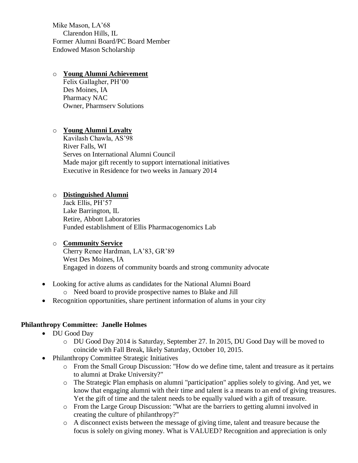Mike Mason, LA'68 Clarendon Hills, IL Former Alumni Board/PC Board Member Endowed Mason Scholarship

#### o **Young Alumni Achievement**

Felix Gallagher, PH'00 Des Moines, IA Pharmacy NAC Owner, Pharmserv Solutions

### o **Young Alumni Loyalty**

Kavilash Chawla, AS'98 River Falls, WI Serves on International Alumni Council Made major gift recently to support international initiatives Executive in Residence for two weeks in January 2014

### o **Distinguished Alumni**

Jack Ellis, PH'57 Lake Barrington, IL Retire, Abbott Laboratories Funded establishment of Ellis Pharmacogenomics Lab

### o **Community Service**

Cherry Renee Hardman, LA'83, GR'89 West Des Moines, IA Engaged in dozens of community boards and strong community advocate

- Looking for active alums as candidates for the National Alumni Board
	- o Need board to provide prospective names to Blake and Jill
- Recognition opportunities, share pertinent information of alums in your city

### **Philanthropy Committee: Janelle Holmes**

- DU Good Day
	- o DU Good Day 2014 is Saturday, September 27. In 2015, DU Good Day will be moved to coincide with Fall Break, likely Saturday, October 10, 2015.
- Philanthropy Committee Strategic Initiatives
	- o From the Small Group Discussion: "How do we define time, talent and treasure as it pertains to alumni at Drake University?"
	- o The Strategic Plan emphasis on alumni "participation" applies solely to giving. And yet, we know that engaging alumni with their time and talent is a means to an end of giving treasures. Yet the gift of time and the talent needs to be equally valued with a gift of treasure.
	- o From the Large Group Discussion: "What are the barriers to getting alumni involved in creating the culture of philanthropy?"
	- o A disconnect exists between the message of giving time, talent and treasure because the focus is solely on giving money. What is VALUED? Recognition and appreciation is only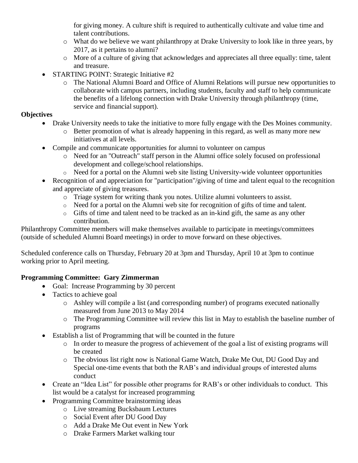for giving money. A culture shift is required to authentically cultivate and value time and talent contributions.

- o What do we believe we want philanthropy at Drake University to look like in three years, by 2017, as it pertains to alumni?
- o More of a culture of giving that acknowledges and appreciates all three equally: time, talent and treasure.
- STARTING POINT: Strategic Initiative #2
	- o The National Alumni Board and Office of Alumni Relations will pursue new opportunities to collaborate with campus partners, including students, faculty and staff to help communicate the benefits of a lifelong connection with Drake University through philanthropy (time, service and financial support).

### **Objectives**

- Drake University needs to take the initiative to more fully engage with the Des Moines community.
	- o Better promotion of what is already happening in this regard, as well as many more new initiatives at all levels.
- Compile and communicate opportunities for alumni to volunteer on campus
	- o Need for an "Outreach" staff person in the Alumni office solely focused on professional development and college/school relationships.
	- o Need for a portal on the Alumni web site listing University-wide volunteer opportunities
- Recognition of and appreciation for "participation"/giving of time and talent equal to the recognition and appreciate of giving treasures.
	- o Triage system for writing thank you notes. Utilize alumni volunteers to assist.
	- o Need for a portal on the Alumni web site for recognition of gifts of time and talent.
	- o Gifts of time and talent need to be tracked as an in-kind gift, the same as any other contribution.

Philanthropy Committee members will make themselves available to participate in meetings/committees (outside of scheduled Alumni Board meetings) in order to move forward on these objectives.

Scheduled conference calls on Thursday, February 20 at 3pm and Thursday, April 10 at 3pm to continue working prior to April meeting.

# **Programming Committee: Gary Zimmerman**

- Goal: Increase Programming by 30 percent
- Tactics to achieve goal
	- o Ashley will compile a list (and corresponding number) of programs executed nationally measured from June 2013 to May 2014
	- o The Programming Committee will review this list in May to establish the baseline number of programs
- Establish a list of Programming that will be counted in the future
	- o In order to measure the progress of achievement of the goal a list of existing programs will be created
	- o The obvious list right now is National Game Watch, Drake Me Out, DU Good Day and Special one-time events that both the RAB's and individual groups of interested alums conduct
- Create an "Idea List" for possible other programs for RAB's or other individuals to conduct. This list would be a catalyst for increased programming
- Programming Committee brainstorming ideas
	- o Live streaming Bucksbaum Lectures
	- o Social Event after DU Good Day
	- o Add a Drake Me Out event in New York
	- o Drake Farmers Market walking tour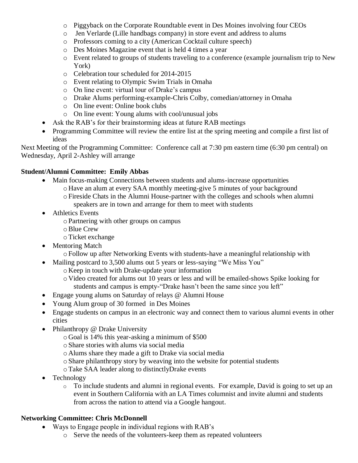- o Piggyback on the Corporate Roundtable event in Des Moines involving four CEOs
- o Jen Verlarde (Lille handbags company) in store event and address to alums
- o Professors coming to a city (American Cocktail culture speech)
- o Des Moines Magazine event that is held 4 times a year
- o Event related to groups of students traveling to a conference (example journalism trip to New York)
- o Celebration tour scheduled for 2014-2015
- o Event relating to Olympic Swim Trials in Omaha
- o On line event: virtual tour of Drake's campus
- o Drake Alums performing-example-Chris Colby, comedian/attorney in Omaha
- o On line event: Online book clubs
- o On line event: Young alums with cool/unusual jobs
- Ask the RAB's for their brainstorming ideas at future RAB meetings
- Programming Committee will review the entire list at the spring meeting and compile a first list of ideas

Next Meeting of the Programming Committee: Conference call at 7:30 pm eastern time (6:30 pm central) on Wednesday, April 2-Ashley will arrange

### **Student/Alumni Committee: Emily Abbas**

- Main focus-making Connections between students and alums-increase opportunities
	- o Have an alum at every SAA monthly meeting-give 5 minutes of your background
	- oFireside Chats in the Alumni House-partner with the colleges and schools when alumni speakers are in town and arrange for them to meet with students
- Athletics Events
	- oPartnering with other groups on campus
	- oBlue Crew
	- oTicket exchange
- Mentoring Match
	- oFollow up after Networking Events with students-have a meaningful relationship with
- Mailing postcard to 3,500 alums out 5 years or less-saying "We Miss You"
	- o Keep in touch with Drake-update your information
	- o Video created for alums out 10 years or less and will be emailed-shows Spike looking for students and campus is empty-"Drake hasn't been the same since you left"
- Engage young alums on Saturday of relays @ Alumni House
- Young Alum group of 30 formed in Des Moines
- Engage students on campus in an electronic way and connect them to various alumni events in other cities
- Philanthropy @ Drake University
	- o Goal is 14% this year-asking a minimum of \$500
	- oShare stories with alums via social media
	- o Alums share they made a gift to Drake via social media
	- oShare philanthropy story by weaving into the website for potential students
	- oTake SAA leader along to distinctlyDrake events
- Technology
	- o To include students and alumni in regional events. For example, David is going to set up an event in Southern California with an LA Times columnist and invite alumni and students from across the nation to attend via a Google hangout.

# **Networking Committee: Chris McDonnell**

- Ways to Engage people in individual regions with RAB's
	- o Serve the needs of the volunteers-keep them as repeated volunteers